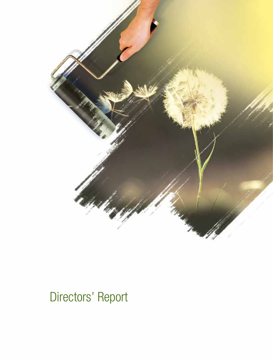

# Directors' Report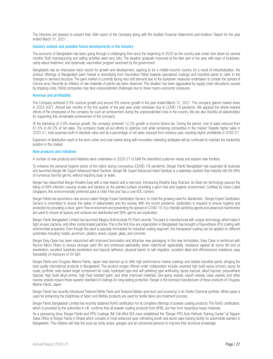The Directors are pleased to present their 48th report of the Company along with the Audited Financial Statements and Auditors' Report for the year ended March 31, 2021.

#### Industry outlook and possible future developments in the industry

The economy of Bangladesh has been going through a challenging time since the beginning of 2020 as the country was under lock-down for several months. Both manufacturing and selling activities were very risky. The situation gradually improved at the later part of the year, with ease of lockdown, clarity about treatment, and systematic vaccination program launched by the government.

Bangladesh has an impressive track record for growth and development, aspiring to be a middle-income country. As a result of industrialization, the product offerings of Bangladesh paint market is diversifying from Decorative Paints towards specialized coatings and industrial paints to cater to the changes in demand structure. The paint market is currently facing very soft demand due to the lockdown measures undertaken to contain the spread of Corona virus. Recently an inflation of raw materials of paints has been observed. The situation has been aggravated by supply chain disruptions caused by shipping crisis. Paints companies may face unprecedented challenges due to these macro-economic pressures.

#### Revenue and profitability

The Company achieved 2.8% revenue growth and around 6% volume growth in the year ended March 31, 2021. The company gained market share in 2020-2021. Almost two months of the first quarter of the year was under lockdown due to COVID-19 pandemic. We applaud the whole-hearted efforts of the employees of the company for such an achievement during the unprecedented crisis in the country. We are also thankful all stakeholders for supporting this remarkable achievement of the company.

At the backdrop of 2.8% revenue growth, the company achieved 12.3% growth in income before tax. During the period, cost of sales reduced from 61.5% to 60.2% of net sales. The company made all-out efforts to optimize cost while remaining competitive in the market. Despite higher sales in 2020-21, total expenses both in absolute value and as a percentage of net sales reduced from previous year, resulting higher profitability in 2020-21.

Expansion of distribution reach in the semi-urban and rural market along with innovative marketing strategies will be continued to maintain the leadership position in the market.

#### New products and initiatives

A number of new products and initiatives were undertaken in 2020-21 to fulfill the diversified customer needs and explore new frontiers.

To enhance the personal hygiene sector of the nation during coronavirus (COVID-19) pandemic, Berger Paints Bangladesh has expanded its business and launched Berger Mr. Expert Advanced Hand Sanitizer. Berger Mr. Expert Advanced Hand Sanitizer is a waterless sanitizer that instantly kills 99.99% of numerous harmful germs, without requiring soap or water.

Berger has relaunched Berger Breathe Easy with a new feature and a new look. Introducing Breathe Easy ViraCare, its Silver Ion technology assures the killing of 99% infection-causing viruses and bacteria on the painted surface, providing a germ-free and hygienic environment. Certified by Green Label Singapore, this environmentally preferred paint is Odor Free and has a Low VOC content.

Berger Paints has launched a new service called 'Berger Expert Sanitization Service' to meet the growing need for disinfection. Berger Expert Sanitization Service is committed to ensure the safety of stakeholders and the society. With the recent pandemic, sanitization is required to ensure hygiene and protection by providing a clean, germ-free environment and preventing the spread of COVID-19. Eco-friendly sanitizing agents and advanced machineries are used to ensure all spaces and surfaces are disinfected and 99% germs are eradicated.

Berger Paints Bangladesh Limited has launched Magico Antimicrobial PU Paint recently. The paint is manufactured with unique technology, which helps it fight viruses, bacteria, and other contaminated particles. This is the first time any organization in Bangladesh has brought a Polyurethene (PU) coating with antimicrobial properties. Even though the paint is specially formulated for industrial coating segment, this transparent coating can be applied on different substrates including metals, aluminum, plastics, wood, copper, glass, and concrete.

Berger Easy Clean has been relaunched with improved formulation and attractive new packaging. In this new formulation, Easy Clean is reinforced with Recron Micro Fibers to ensure stronger paint film and enhanced washability, faster roller/brush applicability, resistance against air borne dirt and oil penetration, excellent substrate penetration and topcoat adhesion, physical barrier to salt migration, excellent alkali and efflorescence resistance, easy traceability on exposure of UV light.

Berger Paints and Chugoku Marine Paints, Japan have teamed up to offer high performance marine coatings and related industrial paints, bringing the best quality international products in Bangladesh. The product ranges offered under collaboration include universal high build epoxy primers, epoxy tie coats, synthetic resin-based single component tie coats, hydrolysis type and self-polishing type antifouling, epoxy topcoat, alkyd topcoat, polyurethane topcoat, high build alkyd primer, high heat resistant paint, and other improved materials. Sea-going vessels, export vessels, class vessels, and other riverine vessels require these superior standard of coatings for long-lasting protection. Berger is the licensed manufacturer of these products of Chugoku Marine Paints, Japan.

Berger Paints has recently introduced Texbond White Paste and Texbond Wettex (premium and economy) in its Textile Chemical portfolio. White paste is used for enhancing the brightness of fabric and Wettex products are used for textile fabric pre-treatment process.

Berger Paints Bangladesh Limited has recently obtained RoHS certification for its complete offerings of powder coating products. The RoHS certification, which is provided by the authorities in UK, confirms that all powder coating products from BPBL are free from hazardous heavy materials.

As a pioneering drive, Berger Paints and PPG Coatings (M) Sdn.Bhd.SEA have established the "Berger PPG Auto Refinish Training Center" at Tejgaon Sales Office of Berger Paints in Dhaka which consists of most advanced auto-refinishing booth and world class training facility for automobile painters in Bangladesh. This initiative will help the local car body shops, garages and all concerned persons to improve their technical knowledge.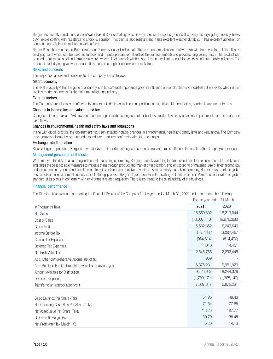Berger has recently introduced Jensolin Water Based Sports Coating, which is very effective for sports grounds. It is a very fast drying, high opacity, heavy duty flexible coating with resistance to shock & abrasion. This paint is skid resistant and it has excellent weather durability. It has excellent adhesion on concreate and asphalt as well as on wet surfaces.

Berger Paints has relaunched Berger AutoCoat Primer Surfacer UnderCoat. This is an undercoat made of alkyd resin with improved formulation. It is an air drying paint which can be used as surfacer and in putty preparation. It makes the surface smooth and provides long lasting finish. The product can be used on all metal, steel and ferrous structures where alkyd enamels will be used. It is an excellent product for vehicles and automobile industries. The product is fast drying, gives very smooth finish, ensures brighter outlook and crack-free.

# Risks and concerns

The major risk factors and concerns for the company are as follows:

# Macro Economy

The level of activity within the general economy is of fundamental importance given its influence on construction and industrial activity levels, which in turn are key market segments for the paint manufacturing industry.

#### External factors

The Company's results may be affected by factors outside its control such as political unrest, strike, civil commotion, pandemic and act of terrorism.

#### Changes in income tax and value added tax

Changes in income tax and VAT laws and sudden unpredictable changes in other business related laws may adversely impact results of operations and cash flows.

#### Changes in environmental, health and safety laws and regulations

In line with global practice, the government has been initiating notable changes in environmental, health and safety laws and regulations. The Company may require additional investment and expenditure to ensure conformity with future changes.

#### Exchange rate fluctuation

Since a large proportion of Berger's raw materials are imported, changes in currency exchange rates influence the result of the Company's operations.

#### Management perception of the risks

While many of the risk areas are beyond control of any single company, Berger is closely watching the trends and developments in each of the risk areas and takes the best possible measures to mitigate them through product and market diversification, efficient sourcing of materials, use of latest technology and investment in research and development to gain sustained competitive advantage. Being a strictly compliant company, Berger is aware of the global best practices in environment friendly manufacturing process. Berger played pioneer role installing Effluent Treatment Plant and Incinerator of global standard at its plants in conformity with environment related regulation. There is no threat to the sustainability of the business.

# Financial performance

The Directors take pleasure in reporting the Financial Results of the Company for the year ended March 31, 2021 and recommend the following:

|                                                          | FOI THE YEAR EFFLUED 3 F IVIALCH |             |  |
|----------------------------------------------------------|----------------------------------|-------------|--|
| In Thousands Taka                                        | 2021                             | 2020        |  |
| <b>Net Sales</b>                                         | 16,669,802                       | 16,219,044  |  |
| Cost of Sales                                            | (10,037,440)                     | (9,978,398) |  |
| Gross Profit                                             | 6,632,362                        | 6,240,646   |  |
| Income Before Tax                                        | 3,472,362                        | 3,092,467   |  |
| <b>Current Tax Expenses</b>                              | (964, 614)                       | (814, 470)  |  |
| Deferred Tax Expenses                                    | 41,040                           | 14,451      |  |
| Net Profit After Tax                                     | 2,548,788                        | 2,292,448   |  |
| Add: Other comprehensive income, net of tax              | 1,969                            |             |  |
| Add: Retained Earning brought forward from previous year |                                  | 5,951,929   |  |
| Amount Available for Distribution                        | 9,426,987                        | 8,244,378   |  |
| Dividend Proposed                                        |                                  | (1,368,147) |  |
| Transfer to un-appropriated profit                       | 7,687,817                        | 6,876,231   |  |
|                                                          |                                  |             |  |
| Basic Earnings Per Share (Taka)                          | 54.96                            | 49.43       |  |
| Net Operating Cash Flow Per Share (Taka)                 | 71.64                            | 77.65       |  |
| Net Asset Value Per Share (Taka)                         | 213.26                           | 187.77      |  |
| Gross Profit Margin (%)                                  | 39.79                            | 38.48       |  |
| Net Profit After Tax Margin (%)                          | 15.29                            | 14.13       |  |

For the year ended 31 March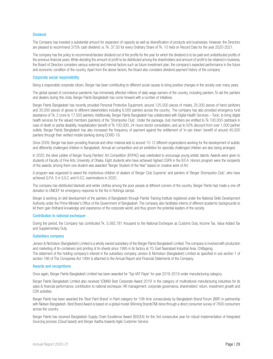#### Dividend

The Company has invested a substantial amount for expansion of capacity as well as diversification of products and businesses. However, the Directors are pleased to recommend 375% cash dividend i.e. Tk. 37.50 for every Ordinary Share of Tk. 10 held on Record Date for the year 2020-2021.

The company has the policy to recommend/declare dividend out of the profits for the year for which the dividend is to be paid and undistributed profits of the previous financial years. While deciding the amount of profit to be distributed among the shareholders and amount of profit to be retained in business, the Board of Directors considers various external and internal factors such as future investment plan, the company's expected performance in the future and economic condition of the country. Apart from the above factors, the Board also considers dividend payment history of the company

#### Corporate social responsibility

Being a responsible corporate citizen, Berger has been contributing to different social causes to bring positive changes in the society over many years.

The global spread of coronavirus pandemic has immensely affected millions of daily-wage earners of the country, including painters. To aid the painters and dealers during this crisis, Berger Paints Bangladesh has come forward with a number of initiatives.

Berger Paints Bangladesh has recently provided Personal Protective Equipment, around 125,000 pieces of masks, 25,000 pieces of hand sanitizers and 30,000 pieces of gloves to different stakeholders including 6,000 painters across the country. The company has also provided emergency fund assistance of Tk. 2 crore to 17,500 painters. Additionally, Berger Paints Bangladesh has collaborated with Digital Health Services – Tonic, to bring digital health services for the valued members (painters) of the 'Shomporko Club'. Under the package, club members are entitled to Tk 100,000 cashback in case of death or partial disability, hospitalization benefit of Tk 100,000, 24-hours doctor consultation, and up to 50% discount from over 1,000 partner outlets. Berger Paints Bangladesh has also increased the frequency of payment against the entitlement of 'in-can token' benefit of around 40,000 painters through their verified mobile banking during COVID-19.

Since 2009, Berger has been providing financial and other material aids to around 10-12 different organizations working for the development of autistic and differently challenged children in Bangladesh. Annual art competition and art exhibition for specially challenged children are also being arranged.

In 2020, the silver jubilee of Berger Young Painters' Art Competition (BYPAC) was celebrated to encourage young artistic talents. Awards were given to students of Faculty of Fine Arts, University of Dhaka. Eight students who have achieved highest CGPA in the B.F.A. Honors program were the recipients of the awards, among them one student was awarded "Berger Student of the Year" based on creative work of Art.

A program was organized to award the meritorious children of dealers of 'Berger Club Supreme' and painters of 'Berger Shomporko Club', who have achieved G.P.A. 5 in S.S.C. and H.S.C. examinations in 2020.

The company has distributed blankets and winter clothes among the poor people at different corners of the country. Berger Paints had made a one off donation to UNICEF for emergency response to the fire in Rohinga camps.

Berger is working on skill development of the painters of Bangladesh through Painter Training Institute registered under the National Skills Development Authority under the Prime Minister's Office of the Government of Bangladesh. The company also facilitates interns of different academic backgrounds to let them gain firsthand knowledge and experience of the corporate world, and thus groom the potential leaders of the society.

#### Contribution to national exchequer

During the period, the Company has contributed Tk. 5,092,781 thousand to the National Exchequer as Customs Duty, Income Tax, Value Added Tax and Supplementary Duty.

#### Subsidiary company

Jenson & Nicholson (Bangladesh) Limited is a wholly owned subsidiary of the Berger Paints Bangladesh Limited. The company is involved with production and marketing of tin-containers and printing of tin sheets since 1995 in its factory at 70, East Nasirabad Industrial Area, Chittagong. The statement of the holding company's interest in the subsidiary company Jenson & Nicholson (Bangladesh) Limited as specified in sub section 1 of section 186 of The Companies Act 1994 is attached to the Annual Report and Financial Statements of the Company.

#### Awards and recognitions

Once again, Berger Paints Bangladesh Limited has been awarded for 'Top VAT Payer' for year 2018-2019 under manufacturing category.

Berger Paints Bangladesh Limited also received 'ICMAB Best Corporate Award 2019' in the category of multinational manufacturing industries for its sales & financial performance, contribution to national exchequer, HR management, corporate governance, shareholders' return, investment growth and CSR activities.

Berger Paints has been awarded the 'Best Paint Brand' in Paint category for 10th time consecutively by Bangladesh Brand Forum (BBF) in partnership with Nielsen Bangladesh. Best Brand Award is based on a global model (Winning BrandsTM) done through a direct consumer survey of 7600 consumers across the country.

Berger Paints has received Bangladesh Supply Chain Excellence Award (BSCEA) for the 3rd consecutive year for robust implementation of Integrated Sourcing process (Cloud based) and Berger Aastha towards Agile Customer Service.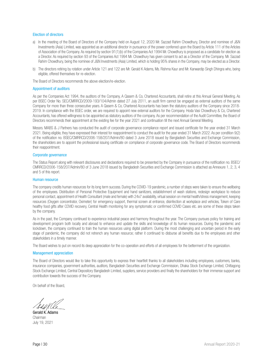#### Election of directors

- a) In the meeting of the Board of Directors of the Company held on August 12, 2020 Mr. Sazzad Rahim Chowdhury, Director and nominee of J&N Investments (Asia) Limited, was appointed as an additional director in pursuance of the power conferred upon the Board by Article 111 of the Articles of Association of the Company. As required by section 91(1)(b) of the Companies Act 1994 Mr. Chowdhury is proposed as a candidate for election as a Director. As required by section 93 of the Companies Act 1994 Mr. Chowdhury has given consent to act as a Director of the Company. Mr. Sazzad Rahim Chowdhury, being the nominee of J&N Investments (Asia) Limited, which is holding 95% shares in the Company, may be elected as a Director.
- b) The directors retiring by rotation under Article 121 and 122 are Mr. Gerald K Adams, Ms. Rishma Kaur and Mr. Kanwardip Singh Dhingra who, being eligible, offered themselves for re-election.

The Board of Directors recommends the above election/re-election.

#### Appointment of auditors

As per the Companies Act 1994, the auditors of the Company, A Qasem & Co, Chartered Accountants, shall retire at this Annual General Meeting. As per BSEC Order No. SEC/CMRRCD/2009-193/104/Admin dated 27 July 2011, an audit firm cannot be engaged as external auditors of the same Company for more than three consecutive years. A Qasem & Co, Chartered Accountants has been the statutory auditors of the Company since 2018- 2019. In compliance with the BSEC order, we are required to appoint new external auditors for the Company. Hoda Vasi Chowdhury & Co, Chartered Accountants, has offered willingness to be appointed as statutory auditors of the company. As per recommendation of the Audit Committee, the Board of Directors recommends their appointment at the existing fee for the year 2021 and continuation till the next Annual General Meeting.

Messrs. MABS & J Partners has conducted the audit of corporate governance compliance report and issued certificate for the year ended 31 March 2021. Being eligible, they have expressed their interest for reappointment to conduct the audit for the year ended 31 March 2022. As per condition 9(2) of the notification no. BSEC/CMRRCD/2006-158/207/Admin/80 dated 3 June 2018 issued by Bangladesh Securities and Exchange Commission, the shareholders are to appoint the professional issuing certificate on compliance of corporate governance code. The Board of Directors recommends their reappointment.

#### Corporate governance

The Status Report along with relevant disclosures and declarations required to be presented by the Company in pursuance of the notification no. BSEC/ CMRRCD/2006-158/207/Admin/80 of 3 June 2018 issued by Bangladesh Securities and Exchange Commission is attached as Annexure 1, 2, 3, 4 and 5 of this report.

#### Human resource

The company credits human resources for its long term success. During the COVID-19 pandemic, a number of steps were taken to ensure the wellbeing of the employees. Distribution of Personal Protective Equipment and hand sanitizers, establishment of wash stations, redesign workplace to reduce personal contact, appointment of Health Consultant (male and female) with 24x7 availability, virtual session on mental health/stress management, keeping resources (Oxygen concentrator, Oximeter) for emergency support, thermal screen at entrance, disinfection at workplace and vehicles, Token of Care healthy food gifts after COVID recovery, Central Health monitoring for any symptomatic or confirmed COVID Cases etc. are some of these steps taken by the company.

As in the past, the Company continued to experience industrial peace and harmony throughout the year. The Company pursues policy for training and development program both locally and abroad to enhance and update the skills and knowledge of its human resources. During the pandemic and lockdown, the company continued to train the human resources using digital platform. During the most challenging and uncertain period in the early stage of pandemic, the company did not retrench any human resource; rather it continued to disburse all benefits due to the employees and other stakeholders in a timely manner.

The Board wishes to put on record its deep appreciation for the co-operation and efforts of all employees for the betterment of the organization.

#### Management appreciation

The Board of Directors would like to take this opportunity to express their heartfelt thanks to all stakeholders including employees, customers, banks, insurance companies, government authorities, auditors, Bangladesh Securities and Exchange Commission, Dhaka Stock Exchange Limited, Chittagong Stock Exchange Limited, Central Depository Bangladesh Limited, suppliers, service providers and finally the shareholders for their immense support and contribution towards the success of the Company.

On behalf of the Board,

Gerald K. Adams Chairman July 19, 2021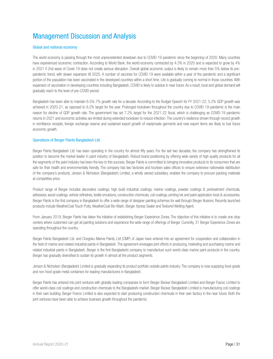# Management Discussion and Analysis

# Global and national economy

The world economy is passing through the most unprecedented slowdown due to COVID-19 pandemic since the beginning of 2020. Many countries have experienced economic contraction. According to World Bank, the world economy contracted by 4.3% in 2020 and is expected to grow by 4% in 2021 if 2nd wave of Covid-19 does not create serious disruption. Overall global economic output is likely to remain more than 5% below its prepandemic trend, with slower expansion till 2025. A number of vaccines for COVID-19 were available within a year of the pandemic and a significant portion of the population has been vaccinated in the developed countries within a short time. Life is gradually coming to normal in those countries. With expansion of vaccination in developing countries including Bangladesh, COVID is likely to subdue in near future. As a result, local and global demand will gradually reach to the level of pre-COVID period.

Bangladesh has been able to maintain 6.5%-7% growth rate for a decade. According to the Budget Speech for FY 2021-22, 5.2% GDP growth was achieved in 2020-21, as opposed to 8.2% target for the year. Prolonged lockdown throughout the country due to COVID-19 pandemic is the main reason for decline of GDP growth rate. The government has set 7.2% target for the 2021-22 fiscal, which is challenging as COVID-19 pandemic returns in 2021 and economic activities are limited during extended lockdown to reduce infection. The country's resilience shown through record growth in remittance receipts, foreign exchange reserve and sustained export growth of readymade garments and new export items are likely to fuel future economic growth.

# Operations of Berger Paints Bangladesh Ltd.

Berger Paints Bangladesh Ltd. has been operating in the country for almost fifty years. For the last two decades, the company has strengthened its position to become the market leader in paint industry of Bangladesh. Robust brand positioning by offering wide variety of high quality products for all the segments of the paint industry has been the key to this success. Berger Paints is committed to bringing innovative products to its consumers that are safe for their health and environmentally friendly. The company has two factories and fourteen sales offices to ensure extensive nationwide distribution of the company's products. Jenson & Nicholson (Bangladesh) Limited, a wholly owned subsidiary, enables the company to procure packing materials at competitive price.

Product range of Berger includes decorative coatings, high build industrial coatings, marine coatings, powder coatings & pretreatment chemicals, adhesives, wood coatings, vehicle refinishes, textile emulsions, construction chemicals, coil coatings, printing ink and paint application tools & accessories. Berger Paints is the first company in Bangladesh to offer a wide range of designer painting schemes for wall through Berger illusions. Recently launched products include WeatherCoat Touch Putty, WeatherCoat Bio Wash, Berger Xpress Sealer and Texbond Wetting Agent.

From January 2019, Berger Paints has taken the initiative of establishing Berger Experience Zones. The objective of this initiative is to create one-stop centers where customers can get all painting solutions and experience the wide range of offerings of Berger. Currently, 31 Berger Experience Zones are operating throughout the country.

Berger Paints Bangladesh Ltd. and Chogoku Marine Paints, Ltd (CMP) of Japan have entered into an agreement for cooperation and collaboration in the field of marine and related industrial paints in Bangladesh. The agreement envisages joint efforts in producing, marketing and purchasing marine and related industrial paints in Bangladesh. Berger is the first Bangladeshi company to manufacture such world-class marine paint products in the country. Berger has gradually diversified to sustain its growth in almost all the product segments.

Jenson & Nicholson (Bangladesh) Limited is gradually expanding its product portfolio outside paints industry. The company is now supplying food-grade and non-food-grade metal containers for leading manufacturers in Bangladesh.

Berger Paints has entered into joint ventures with globally leading companies to form Berger Becker Bangladesh Limited and Berger Fosroc Limited to offer world-class coil coatings and construction chemicals to the Bangladeshi market. Berger Becker Bangladesh Limited is manufacturing coil coatings in their own building. Berger Fosroc Limited is also expected to start producing construction chemicals in their own factory in the near future. Both the joint ventures have been able to achieve business growth throughout the pandemic.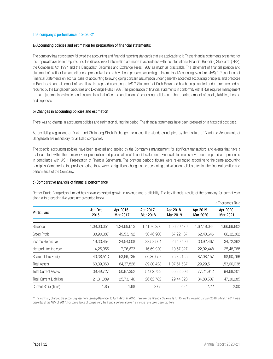# The company's performance in 2020-21

#### a) Accounting policies and estimation for preparation of financial statements:

The company has consistently followed the accounting and financial reporting standards that are applicable to it. These financial statements presented for the approval have been prepared and the disclosures of information are made in accordance with the International Financial Reporting Standards (IFRS), the Companies Act 1994 and the Bangladesh Securities and Exchange Rules 1987 as much as practicable. The statement of financial position and statement of profit or loss and other comprehensive income have been prepared according to International Accounting Standards (IAS) 1 Presentation of Financial Statements on accrual basis of accounting following going concern assumption under generally accepted accounting principles and practices in Bangladesh and statement of cash flows is prepared according to IAS 7 Statement of Cash Flows and has been presented under direct method as required by the Bangladesh Securities and Exchange Rules 1987. The preparation of financial statements in conformity with IFRSs requires management to make judgments, estimates and assumptions that affect the application of accounting policies and the reported amount of assets, liabilities, income and expenses.

# b) Changes in accounting policies and estimation

There was no change in accounting policies and estimation during the period. The financial statements have been prepared on a historical cost basis.

As per listing regulations of Dhaka and Chittagong Stock Exchange, the accounting standards adopted by the Institute of Chartered Accountants of Bangladesh are mandatory for all listed companies.

The specific accounting policies have been selected and applied by the Company's management for significant transactions and events that have a material effect within the framework for preparation and presentation of financial statements. Financial statements have been prepared and presented in compliance with IAS 1 Presentation of Financial Statements. The previous period's figures were re-arranged according to the same accounting principles. Compared to the previous period, there were no significant change in the accounting and valuation policies affecting the financial position and performance of the Company.

# c) Comparative analysis of financial performance

Berger Paints Bangladesh Limited has shown consistent growth in revenue and profitability. The key financial results of the company for current year along with preceding five years are presented below:

| <b>Particulars</b>               |                 |                       |                       |                       |                       | In Thousands Taka     |  |
|----------------------------------|-----------------|-----------------------|-----------------------|-----------------------|-----------------------|-----------------------|--|
|                                  | Jan-Dec<br>2015 | Apr 2016-<br>Mar 2017 | Apr 2017-<br>Mar 2018 | Apr 2018-<br>Mar 2019 | Apr 2019-<br>Mar 2020 | Apr 2020-<br>Mar 2021 |  |
| Revenue                          | 1,09,03,051     | 1,24,69,613           | 1,41,76,256           | 1,56,29,479           | 1,62,19,044           | 1,66,69,802           |  |
| Gross Profit                     | 38,90,387       | 49,53,192             | 50,46,900             | 57,22,137             | 62,40,646             | 66,32,362             |  |
| Income Before Tax                | 19,33,454       | 24,54,008             | 22,53,564             | 26,49,490             | 30,92,467             | 34,72,362             |  |
| Net profit for the year          | 14,25,955       | 17,76,673             | 16,69,930             | 19,57,827             | 22,92,448             | 25,48,788             |  |
| Shareholders Equity              | 40,38,513       | 53,66,735             | 60,80,657             | 75,75,155             | 87,08,157             | 98,90,766             |  |
| <b>Total Assets</b>              | 63,39,060       | 84, 37, 826           | 89,80,428             | 1,07,61,587           | 1,29,29,511           | 1,53,00,038           |  |
| <b>Total Current Assets</b>      | 39,49,727       | 50,87,352             | 54,62,783             | 65,83,908             | 77,21,912             | 94,68,201             |  |
| <b>Total Current Liabilities</b> | 21,31,089       | 25.73.140             | 26,62,782             | 29.44.023             | 34.83.507             | 47,30,285             |  |
| Current Ratio (Time)             | 1.85            | 1.98                  | 2.05                  | 2.24                  | 2.22                  | 2.00                  |  |

\*\* The company changed the accounting year from January-December to April-March in 2016. Therefore, the Financial Statements for 15 months covering January 2016 to March 2017 were presented at the AGM of 2017. For convenience of comparison, the financial performance of 12 months have been presented here.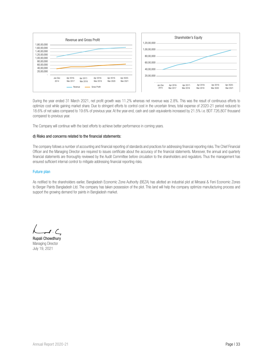

During the year ended 31 March 2021, net profit growth was 11.2% whereas net revenue was 2.8%. This was the result of continuous efforts to optimize cost while gaining market share. Due to stringent efforts to control cost in the uncertain times, total expense of 2020-21 period reduced to 18.6% of net sales compared to 19.6% of previous year. At the year-end, cash and cash equivalents increased by 21.5% i.e. BDT 726,807 thousand compared to previous year.

The Company will continue with the best efforts to achieve better performance in coming years.

#### d) Risks and concerns related to the financial statements:

The company follows a number of accounting and financial reporting of standards and practices for addressing financial reporting risks. The Chief Financial Officer and the Managing Director are required to issues certificate about the accuracy of the financial statements. Moreover, the annual and quarterly financial statements are thoroughly reviewed by the Audit Committee before circulation to the shareholders and regulators. Thus the management has ensured sufficient internal control to mitigate addressing financial reporting risks.

#### Future plan

As notified to the shareholders earlier, Bangladesh Economic Zone Authority (BEZA) has allotted an industrial plot at Mirsarai & Feni Economic Zones to Berger Paints Bangladesh Ltd. The company has taken possession of the plot. This land will help the company optimize manufacturing process and support the growing demand for paints in Bangladesh market.

Rupali Chowdhury Managing Director July 19, 2021